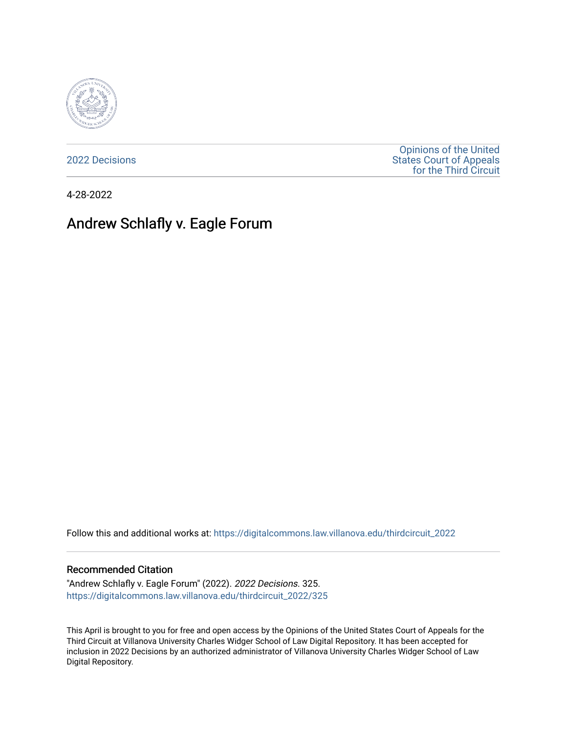

[2022 Decisions](https://digitalcommons.law.villanova.edu/thirdcircuit_2022)

[Opinions of the United](https://digitalcommons.law.villanova.edu/thirdcircuit)  [States Court of Appeals](https://digitalcommons.law.villanova.edu/thirdcircuit)  [for the Third Circuit](https://digitalcommons.law.villanova.edu/thirdcircuit) 

4-28-2022

# Andrew Schlafly v. Eagle Forum

Follow this and additional works at: [https://digitalcommons.law.villanova.edu/thirdcircuit\\_2022](https://digitalcommons.law.villanova.edu/thirdcircuit_2022?utm_source=digitalcommons.law.villanova.edu%2Fthirdcircuit_2022%2F325&utm_medium=PDF&utm_campaign=PDFCoverPages) 

#### Recommended Citation

"Andrew Schlafly v. Eagle Forum" (2022). 2022 Decisions. 325. [https://digitalcommons.law.villanova.edu/thirdcircuit\\_2022/325](https://digitalcommons.law.villanova.edu/thirdcircuit_2022/325?utm_source=digitalcommons.law.villanova.edu%2Fthirdcircuit_2022%2F325&utm_medium=PDF&utm_campaign=PDFCoverPages)

This April is brought to you for free and open access by the Opinions of the United States Court of Appeals for the Third Circuit at Villanova University Charles Widger School of Law Digital Repository. It has been accepted for inclusion in 2022 Decisions by an authorized administrator of Villanova University Charles Widger School of Law Digital Repository.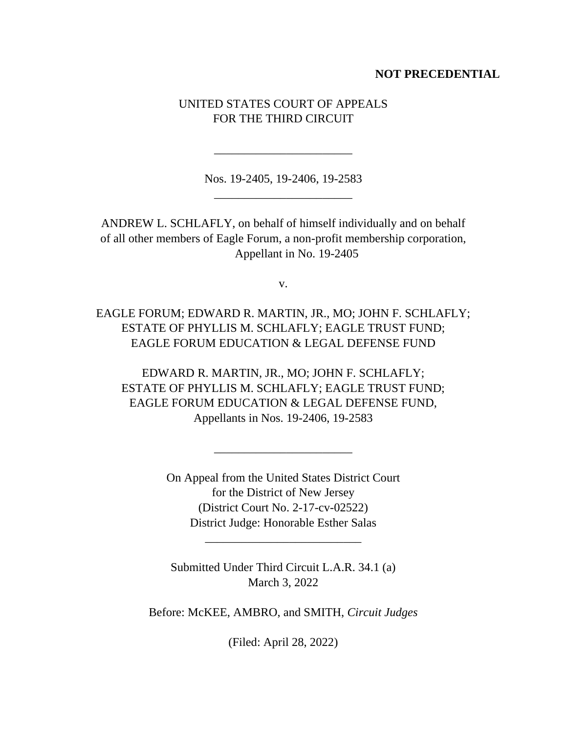## **NOT PRECEDENTIAL**

# UNITED STATES COURT OF APPEALS FOR THE THIRD CIRCUIT

Nos. 19-2405, 19-2406, 19-2583 \_\_\_\_\_\_\_\_\_\_\_\_\_\_\_\_\_\_\_\_\_\_\_

\_\_\_\_\_\_\_\_\_\_\_\_\_\_\_\_\_\_\_\_\_\_\_

ANDREW L. SCHLAFLY, on behalf of himself individually and on behalf of all other members of Eagle Forum, a non-profit membership corporation, Appellant in No. 19-2405

v.

EAGLE FORUM; EDWARD R. MARTIN, JR., MO; JOHN F. SCHLAFLY; ESTATE OF PHYLLIS M. SCHLAFLY; EAGLE TRUST FUND; EAGLE FORUM EDUCATION & LEGAL DEFENSE FUND

EDWARD R. MARTIN, JR., MO; JOHN F. SCHLAFLY; ESTATE OF PHYLLIS M. SCHLAFLY; EAGLE TRUST FUND; EAGLE FORUM EDUCATION & LEGAL DEFENSE FUND, Appellants in Nos. 19-2406, 19-2583

> On Appeal from the United States District Court for the District of New Jersey (District Court No. 2-17-cv-02522) District Judge: Honorable Esther Salas

\_\_\_\_\_\_\_\_\_\_\_\_\_\_\_\_\_\_\_\_\_\_\_

Submitted Under Third Circuit L.A.R. 34.1 (a) March 3, 2022

\_\_\_\_\_\_\_\_\_\_\_\_\_\_\_\_\_\_\_\_\_\_\_\_\_\_

Before: McKEE, AMBRO, and SMITH, *Circuit Judges*

(Filed: April 28, 2022)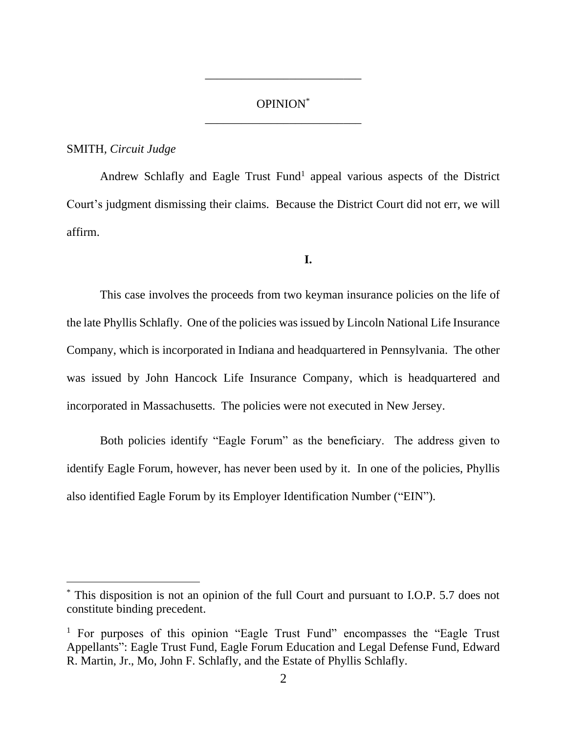# OPINION\* \_\_\_\_\_\_\_\_\_\_\_\_\_\_\_\_\_\_\_\_\_\_\_\_\_\_

\_\_\_\_\_\_\_\_\_\_\_\_\_\_\_\_\_\_\_\_\_\_\_\_\_\_

### SMITH*, Circuit Judge*

Andrew Schlafly and Eagle Trust Fund<sup>1</sup> appeal various aspects of the District Court's judgment dismissing their claims. Because the District Court did not err, we will affirm.

### **I.**

This case involves the proceeds from two keyman insurance policies on the life of the late Phyllis Schlafly. One of the policies was issued by Lincoln National Life Insurance Company, which is incorporated in Indiana and headquartered in Pennsylvania. The other was issued by John Hancock Life Insurance Company, which is headquartered and incorporated in Massachusetts. The policies were not executed in New Jersey.

Both policies identify "Eagle Forum" as the beneficiary. The address given to identify Eagle Forum, however, has never been used by it. In one of the policies, Phyllis also identified Eagle Forum by its Employer Identification Number ("EIN").

This disposition is not an opinion of the full Court and pursuant to I.O.P. 5.7 does not constitute binding precedent.

<sup>&</sup>lt;sup>1</sup> For purposes of this opinion "Eagle Trust Fund" encompasses the "Eagle Trust Appellants": Eagle Trust Fund, Eagle Forum Education and Legal Defense Fund, Edward R. Martin, Jr., Mo, John F. Schlafly, and the Estate of Phyllis Schlafly.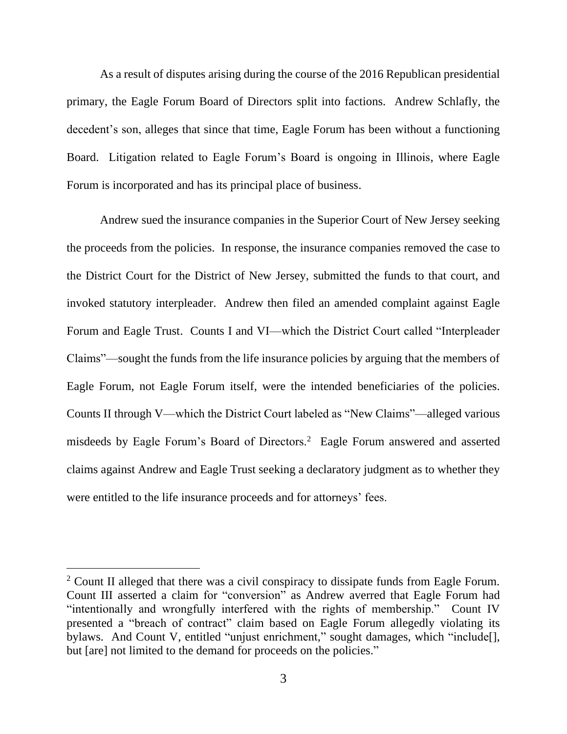As a result of disputes arising during the course of the 2016 Republican presidential primary, the Eagle Forum Board of Directors split into factions. Andrew Schlafly, the decedent's son, alleges that since that time, Eagle Forum has been without a functioning Board. Litigation related to Eagle Forum's Board is ongoing in Illinois, where Eagle Forum is incorporated and has its principal place of business.

Andrew sued the insurance companies in the Superior Court of New Jersey seeking the proceeds from the policies. In response, the insurance companies removed the case to the District Court for the District of New Jersey, submitted the funds to that court, and invoked statutory interpleader. Andrew then filed an amended complaint against Eagle Forum and Eagle Trust. Counts I and VI—which the District Court called "Interpleader Claims"—sought the funds from the life insurance policies by arguing that the members of Eagle Forum, not Eagle Forum itself, were the intended beneficiaries of the policies. Counts II through V—which the District Court labeled as "New Claims"—alleged various misdeeds by Eagle Forum's Board of Directors.<sup>2</sup> Eagle Forum answered and asserted claims against Andrew and Eagle Trust seeking a declaratory judgment as to whether they were entitled to the life insurance proceeds and for attorneys' fees.

<sup>&</sup>lt;sup>2</sup> Count II alleged that there was a civil conspiracy to dissipate funds from Eagle Forum. Count III asserted a claim for "conversion" as Andrew averred that Eagle Forum had "intentionally and wrongfully interfered with the rights of membership." Count IV presented a "breach of contract" claim based on Eagle Forum allegedly violating its bylaws. And Count V, entitled "unjust enrichment," sought damages, which "include[], but [are] not limited to the demand for proceeds on the policies."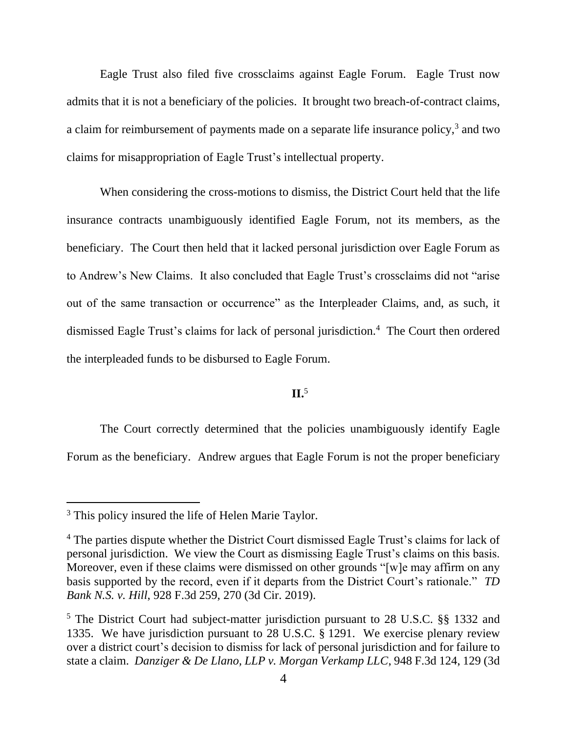Eagle Trust also filed five crossclaims against Eagle Forum. Eagle Trust now admits that it is not a beneficiary of the policies. It brought two breach-of-contract claims, a claim for reimbursement of payments made on a separate life insurance policy, $3$  and two claims for misappropriation of Eagle Trust's intellectual property.

When considering the cross-motions to dismiss, the District Court held that the life insurance contracts unambiguously identified Eagle Forum, not its members, as the beneficiary. The Court then held that it lacked personal jurisdiction over Eagle Forum as to Andrew's New Claims. It also concluded that Eagle Trust's crossclaims did not "arise out of the same transaction or occurrence" as the Interpleader Claims, and, as such, it dismissed Eagle Trust's claims for lack of personal jurisdiction.<sup>4</sup> The Court then ordered the interpleaded funds to be disbursed to Eagle Forum.

## **II.**<sup>5</sup>

The Court correctly determined that the policies unambiguously identify Eagle Forum as the beneficiary. Andrew argues that Eagle Forum is not the proper beneficiary

<sup>&</sup>lt;sup>3</sup> This policy insured the life of Helen Marie Taylor.

<sup>&</sup>lt;sup>4</sup> The parties dispute whether the District Court dismissed Eagle Trust's claims for lack of personal jurisdiction. We view the Court as dismissing Eagle Trust's claims on this basis. Moreover, even if these claims were dismissed on other grounds "[w]e may affirm on any basis supported by the record, even if it departs from the District Court's rationale." *TD Bank N.S. v. Hill*, 928 F.3d 259, 270 (3d Cir. 2019).

<sup>5</sup> The District Court had subject-matter jurisdiction pursuant to 28 U.S.C. §§ 1332 and 1335. We have jurisdiction pursuant to 28 U.S.C. § 1291. We exercise plenary review over a district court's decision to dismiss for lack of personal jurisdiction and for failure to state a claim. *Danziger & De Llano, LLP v. Morgan Verkamp LLC*, 948 F.3d 124, 129 (3d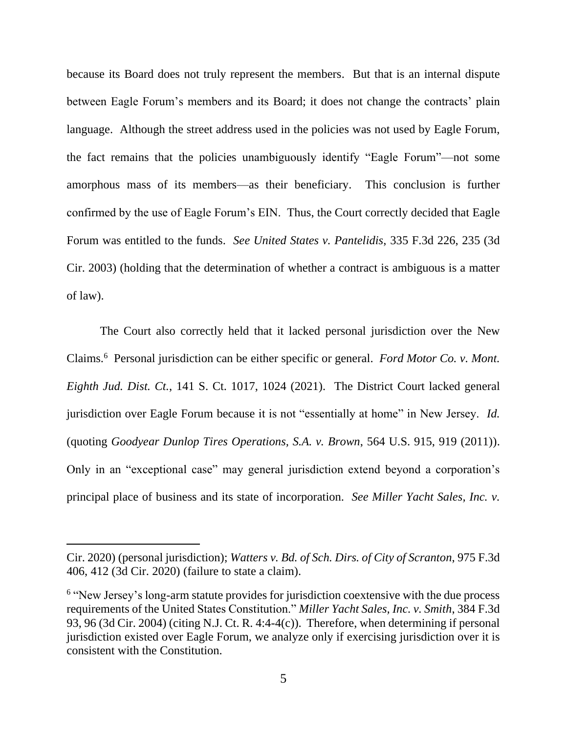because its Board does not truly represent the members. But that is an internal dispute between Eagle Forum's members and its Board; it does not change the contracts' plain language. Although the street address used in the policies was not used by Eagle Forum, the fact remains that the policies unambiguously identify "Eagle Forum"—not some amorphous mass of its members—as their beneficiary. This conclusion is further confirmed by the use of Eagle Forum's EIN. Thus, the Court correctly decided that Eagle Forum was entitled to the funds. *See United States v. Pantelidis*, 335 F.3d 226, 235 (3d Cir. 2003) (holding that the determination of whether a contract is ambiguous is a matter of law).

The Court also correctly held that it lacked personal jurisdiction over the New Claims.<sup>6</sup> Personal jurisdiction can be either specific or general. *Ford Motor Co. v. Mont. Eighth Jud. Dist. Ct.*, 141 S. Ct. 1017, 1024 (2021). The District Court lacked general jurisdiction over Eagle Forum because it is not "essentially at home" in New Jersey. *Id.* (quoting *Goodyear Dunlop Tires Operations, S.A. v. Brown*, 564 U.S. 915, 919 (2011)). Only in an "exceptional case" may general jurisdiction extend beyond a corporation's principal place of business and its state of incorporation. *See Miller Yacht Sales, Inc. v.* 

Cir. 2020) (personal jurisdiction); *Watters v. Bd. of Sch. Dirs. of City of Scranton*, 975 F.3d 406, 412 (3d Cir. 2020) (failure to state a claim).

<sup>&</sup>lt;sup>6</sup> "New Jersey's long-arm statute provides for jurisdiction coextensive with the due process requirements of the United States Constitution." *Miller Yacht Sales, Inc. v. Smith*, 384 F.3d 93, 96 (3d Cir. 2004) (citing N.J. Ct. R. 4:4-4(c)). Therefore, when determining if personal jurisdiction existed over Eagle Forum, we analyze only if exercising jurisdiction over it is consistent with the Constitution.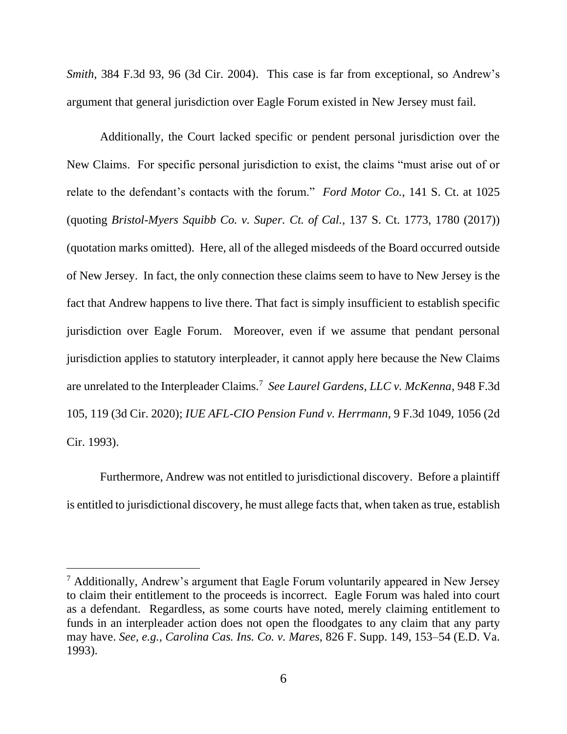*Smith*, 384 F.3d 93, 96 (3d Cir. 2004). This case is far from exceptional, so Andrew's argument that general jurisdiction over Eagle Forum existed in New Jersey must fail.

Additionally, the Court lacked specific or pendent personal jurisdiction over the New Claims. For specific personal jurisdiction to exist, the claims "must arise out of or relate to the defendant's contacts with the forum." *Ford Motor Co.*, 141 S. Ct. at 1025 (quoting *Bristol-Myers Squibb Co. v. Super. Ct. of Cal.*, 137 S. Ct. 1773, 1780 (2017)) (quotation marks omitted). Here, all of the alleged misdeeds of the Board occurred outside of New Jersey. In fact, the only connection these claims seem to have to New Jersey is the fact that Andrew happens to live there. That fact is simply insufficient to establish specific jurisdiction over Eagle Forum. Moreover, even if we assume that pendant personal jurisdiction applies to statutory interpleader, it cannot apply here because the New Claims are unrelated to the Interpleader Claims.<sup>7</sup> *See Laurel Gardens, LLC v. McKenna*, 948 F.3d 105, 119 (3d Cir. 2020); *IUE AFL-CIO Pension Fund v. Herrmann*, 9 F.3d 1049, 1056 (2d Cir. 1993).

Furthermore, Andrew was not entitled to jurisdictional discovery. Before a plaintiff is entitled to jurisdictional discovery, he must allege facts that, when taken as true, establish

<sup>7</sup> Additionally, Andrew's argument that Eagle Forum voluntarily appeared in New Jersey to claim their entitlement to the proceeds is incorrect. Eagle Forum was haled into court as a defendant. Regardless, as some courts have noted, merely claiming entitlement to funds in an interpleader action does not open the floodgates to any claim that any party may have. *See, e.g., Carolina Cas. Ins. Co. v. Mares*, 826 F. Supp. 149, 153–54 (E.D. Va. 1993).